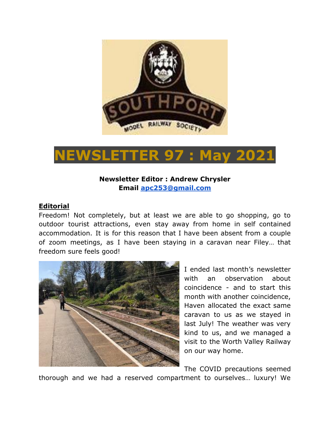

# **NEWSLETTER 97 : May 2021**

# **Newsletter Editor : Andrew Chrysler Email [apc253@gmail.com](mailto:apc253@gmail.com)**

### **Editorial**

Freedom! Not completely, but at least we are able to go shopping, go to outdoor tourist attractions, even stay away from home in self contained accommodation. It is for this reason that I have been absent from a couple of zoom meetings, as I have been staying in a caravan near Filey… that freedom sure feels good!



I ended last month's newsletter with an observation about coincidence - and to start this month with another coincidence, Haven allocated the exact same caravan to us as we stayed in last July! The weather was very kind to us, and we managed a visit to the Worth Valley Railway on our way home.

The COVID precautions seemed thorough and we had a reserved compartment to ourselves… luxury! We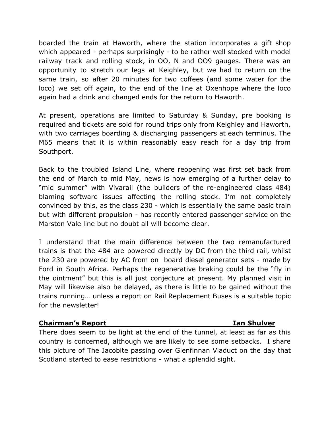boarded the train at Haworth, where the station incorporates a gift shop which appeared - perhaps surprisingly - to be rather well stocked with model railway track and rolling stock, in OO, N and OO9 gauges. There was an opportunity to stretch our legs at Keighley, but we had to return on the same train, so after 20 minutes for two coffees (and some water for the loco) we set off again, to the end of the line at Oxenhope where the loco again had a drink and changed ends for the return to Haworth.

At present, operations are limited to Saturday & Sunday, pre booking is required and tickets are sold for round trips only from Keighley and Haworth, with two carriages boarding & discharging passengers at each terminus. The M65 means that it is within reasonably easy reach for a day trip from Southport.

Back to the troubled Island Line, where reopening was first set back from the end of March to mid May, news is now emerging of a further delay to "mid summer" with Vivarail (the builders of the re-engineered class 484) blaming software issues affecting the rolling stock. I'm not completely convinced by this, as the class 230 - which is essentially the same basic train but with different propulsion - has recently entered passenger service on the Marston Vale line but no doubt all will become clear.

I understand that the main difference between the two remanufactured trains is that the 484 are powered directly by DC from the third rail, whilst the 230 are powered by AC from on board diesel generator sets - made by Ford in South Africa. Perhaps the regenerative braking could be the "fly in the ointment" but this is all just conjecture at present. My planned visit in May will likewise also be delayed, as there is little to be gained without the trains running… unless a report on Rail Replacement Buses is a suitable topic for the newsletter!

### **Chairman's Report Ian Shulver**

There does seem to be light at the end of the tunnel, at least as far as this country is concerned, although we are likely to see some setbacks. I share this picture of The Jacobite passing over Glenfinnan Viaduct on the day that Scotland started to ease restrictions - what a splendid sight.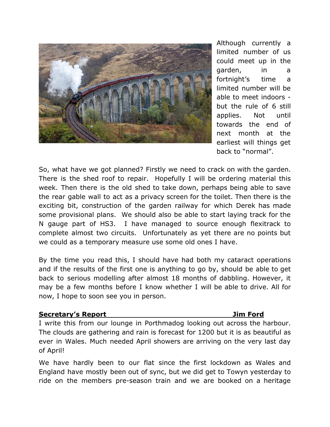

Although currently a limited number of us could meet up in the garden, in a fortnight's time a limited number will be able to meet indoors but the rule of 6 still applies. Not until towards the end of next month at the earliest will things get back to "normal".

So, what have we got planned? Firstly we need to crack on with the garden. There is the shed roof to repair. Hopefully I will be ordering material this week. Then there is the old shed to take down, perhaps being able to save the rear gable wall to act as a privacy screen for the toilet. Then there is the exciting bit, construction of the garden railway for which Derek has made some provisional plans. We should also be able to start laying track for the N gauge part of HS3. I have managed to source enough flexitrack to complete almost two circuits. Unfortunately as yet there are no points but we could as a temporary measure use some old ones I have.

By the time you read this, I should have had both my cataract operations and if the results of the first one is anything to go by, should be able to get back to serious modelling after almost 18 months of dabbling. However, it may be a few months before I know whether I will be able to drive. All for now, I hope to soon see you in person.

#### **Secretary's Report Jim Ford**

I write this from our lounge in Porthmadog looking out across the harbour. The clouds are gathering and rain is forecast for 1200 but it is as beautiful as ever in Wales. Much needed April showers are arriving on the very last day of April!

We have hardly been to our flat since the first lockdown as Wales and England have mostly been out of sync, but we did get to Towyn yesterday to ride on the members pre-season train and we are booked on a heritage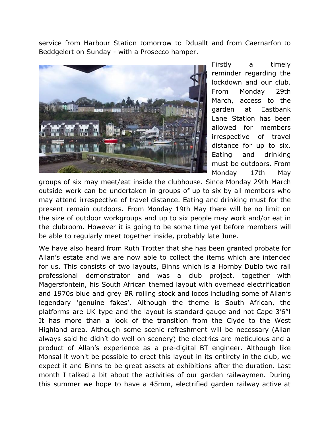service from Harbour Station tomorrow to Dduallt and from Caernarfon to Beddgelert on Sunday - with a Prosecco hamper.



Firstly a timely reminder regarding the lockdown and our club. From Monday 29th March, access to the garden at Eastbank Lane Station has been allowed for members irrespective of travel distance for up to six. Eating and drinking must be outdoors. From Monday 17th May

groups of six may meet/eat inside the clubhouse. Since Monday 29th March outside work can be undertaken in groups of up to six by all members who may attend irrespective of travel distance. Eating and drinking must for the present remain outdoors. From Monday 19th May there will be no limit on the size of outdoor workgroups and up to six people may work and/or eat in the clubroom. However it is going to be some time yet before members will be able to regularly meet together inside, probably late June.

We have also heard from Ruth Trotter that she has been granted probate for Allan's estate and we are now able to collect the items which are intended for us. This consists of two layouts, Binns which is a Hornby Dublo two rail professional demonstrator and was a club project, together with Magersfontein, his South African themed layout with overhead electrification and 1970s blue and grey BR rolling stock and locos including some of Allan's legendary 'genuine fakes'. Although the theme is South African, the platforms are UK type and the layout is standard gauge and not Cape 3'6"! It has more than a look of the transition from the Clyde to the West Highland area. Although some scenic refreshment will be necessary (Allan always said he didn't do well on scenery) the electrics are meticulous and a product of Allan's experience as a pre-digital BT engineer. Although like Monsal it won't be possible to erect this layout in its entirety in the club, we expect it and Binns to be great assets at exhibitions after the duration. Last month I talked a bit about the activities of our garden railwaymen. During this summer we hope to have a 45mm, electrified garden railway active at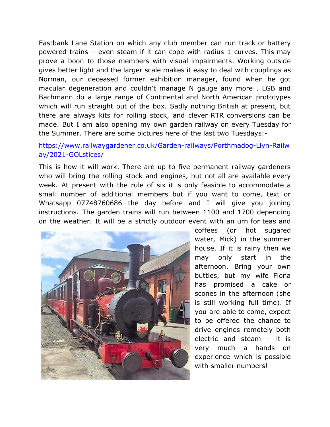Eastbank Lane Station on which any club member can run track or battery powered trains – even steam if it can cope with radius 1 curves. This may prove a boon to those members with visual impairments. Working outside gives better light and the larger scale makes it easy to deal with couplings as Norman, our deceased former exhibition manager, found when he got macular degeneration and couldn't manage N gauge any more . LGB and Bachmann do a large range of Continental and North American prototypes which will run straight out of the box. Sadly nothing British at present, but there are always kits for rolling stock, and clever RTR conversions can be made. But I am also opening my own garden railway on every Tuesday for the Summer. There are some pictures here of the last two Tuesdays:-

# [https://www.railwaygardener.co.uk/Garden-railways/Porthmadog-Llyn-Railw](https://www.railwaygardener.co.uk/Garden-railways/Porthmadog-Llyn-Railway/2021-GOLstices/) [ay/2021-GOLstices/](https://www.railwaygardener.co.uk/Garden-railways/Porthmadog-Llyn-Railway/2021-GOLstices/)

This is how it will work. There are up to five permanent railway gardeners who will bring the rolling stock and engines, but not all are available every week. At present with the rule of six it is only feasible to accommodate a small number of additional members but if you want to come, text or Whatsapp 07748760686 the day before and I will give you joining instructions. The garden trains will run between 1100 and 1700 depending on the weather. It will be a strictly outdoor event with an urn for teas and



coffees (or hot sugared water, Mick) in the summer house. If it is rainy then we may only start in the afternoon. Bring your own butties, but my wife Fiona has promised a cake or scones in the afternoon (she is still working full time). If you are able to come, expect to be offered the chance to drive engines remotely both electric and steam – it is very much a hands on experience which is possible with smaller numbers!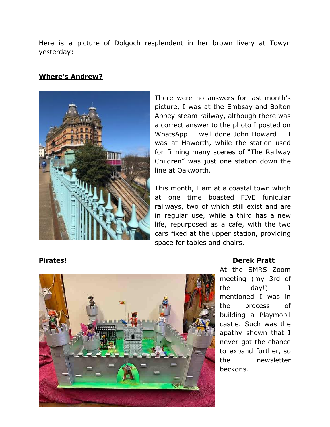Here is a picture of Dolgoch resplendent in her brown livery at Towyn yesterday:-

### **Where's Andrew?**



There were no answers for last month's picture, I was at the Embsay and Bolton Abbey steam railway, although there was a correct answer to the photo I posted on WhatsApp … well done John Howard … I was at Haworth, while the station used for filming many scenes of "The Railway Children" was just one station down the line at Oakworth.

This month, I am at a coastal town which at one time boasted FIVE funicular railways, two of which still exist and are in regular use, while a third has a new life, repurposed as a cafe, with the two cars fixed at the upper station, providing space for tables and chairs.



#### **Pirates! Derek Pratt**

At the SMRS Zoom meeting (my 3rd of the day!) I mentioned I was in the process of building a Playmobil castle. Such was the apathy shown that I never got the chance to expand further, so the newsletter beckons.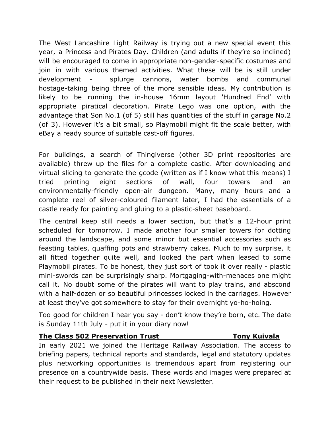The West Lancashire Light Railway is trying out a new special event this year, a Princess and Pirates Day. Children (and adults if they're so inclined) will be encouraged to come in appropriate non-gender-specific costumes and join in with various themed activities. What these will be is still under development - splurge cannons, water bombs and communal hostage-taking being three of the more sensible ideas. My contribution is likely to be running the in-house 16mm layout 'Hundred End' with appropriate piratical decoration. Pirate Lego was one option, with the advantage that Son No.1 (of 5) still has quantities of the stuff in garage No.2 (of 3). However it's a bit small, so Playmobil might fit the scale better, with eBay a ready source of suitable cast-off figures.

For buildings, a search of Thingiverse (other 3D print repositories are available) threw up the files for a complete castle. After downloading and virtual slicing to generate the gcode (written as if I know what this means) I tried printing eight sections of wall, four towers and an environmentally-friendly open-air dungeon. Many, many hours and a complete reel of silver-coloured filament later, I had the essentials of a castle ready for painting and gluing to a plastic-sheet baseboard.

The central keep still needs a lower section, but that's a 12-hour print scheduled for tomorrow. I made another four smaller towers for dotting around the landscape, and some minor but essential accessories such as feasting tables, quaffing pots and strawberry cakes. Much to my surprise, it all fitted together quite well, and looked the part when leased to some Playmobil pirates. To be honest, they just sort of took it over really - plastic mini-swords can be surprisingly sharp. Mortgaging-with-menaces one might call it. No doubt some of the pirates will want to play trains, and abscond with a half-dozen or so beautiful princesses locked in the carriages. However at least they've got somewhere to stay for their overnight yo-ho-hoing.

Too good for children I hear you say - don't know they're born, etc. The date is Sunday 11th July - put it in your diary now!

### **The Class 502 Preservation Trust Tony Kuivala**

In early 2021 we joined the Heritage Railway Association. The access to briefing papers, technical reports and standards, legal and statutory updates plus networking opportunities is tremendous apart from registering our presence on a countrywide basis. These words and images were prepared at their request to be published in their next Newsletter.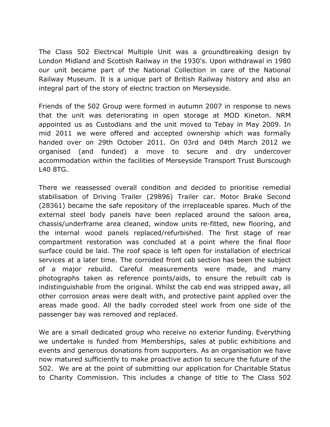The Class 502 Electrical Multiple Unit was a groundbreaking design by London Midland and Scottish Railway in the 1930's. Upon withdrawal in 1980 our unit became part of the National Collection in care of the National Railway Museum. It is a unique part of British Railway history and also an integral part of the story of electric traction on Merseyside.

Friends of the 502 Group were formed in autumn 2007 in response to news that the unit was deteriorating in open storage at MOD Kineton. NRM appointed us as Custodians and the unit moved to Tebay in May 2009. In mid 2011 we were offered and accepted ownership which was formally handed over on 29th October 2011. On 03rd and 04th March 2012 we organised (and funded) a move to secure and dry undercover accommodation within the facilities of Merseyside Transport Trust Burscough L40 8TG.

There we reassessed overall condition and decided to prioritise remedial stabilisation of Driving Trailer (29896) Trailer car. Motor Brake Second (28361) became the safe repository of the irreplaceable spares. Much of the external steel body panels have been replaced around the saloon area, chassis/underframe area cleaned, window units re-fitted, new flooring, and the internal wood panels replaced/refurbished. The first stage of rear compartment restoration was concluded at a point where the final floor surface could be laid. The roof space is left open for installation of electrical services at a later time. The corroded front cab section has been the subject of a major rebuild. Careful measurements were made, and many photographs taken as reference points/aids, to ensure the rebuilt cab is indistinguishable from the original. Whilst the cab end was stripped away, all other corrosion areas were dealt with, and protective paint applied over the areas made good. All the badly corroded steel work from one side of the passenger bay was removed and replaced.

We are a small dedicated group who receive no exterior funding. Everything we undertake is funded from Memberships, sales at public exhibitions and events and generous donations from supporters. As an organisation we have now matured sufficiently to make proactive action to secure the future of the 502. We are at the point of submitting our application for Charitable Status to Charity Commission. This includes a change of title to The Class 502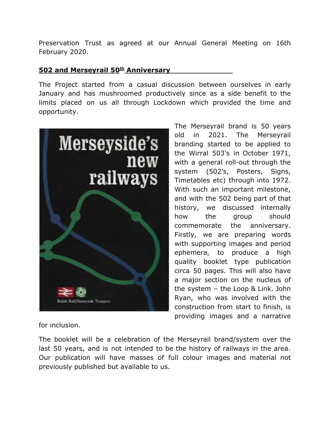Preservation Trust as agreed at our Annual General Meeting on 16th February 2020.

### **502 and Merseyrail 50th Anniversary**

The Project started from a casual discussion between ourselves in early January and has mushroomed productively since as a side benefit to the limits placed on us all through Lockdown which provided the time and opportunity.



The Merseyrail brand is 50 years old in 2021. The Merseyrail branding started to be applied to the Wirral 503's in October 1971, with a general roll-out through the system (502's, Posters, Signs, Timetables etc) through into 1972. With such an important milestone, and with the 502 being part of that history, we discussed internally how the group should commemorate the anniversary. Firstly, we are preparing words with supporting images and period ephemera, to produce a high quality booklet type publication circa 50 pages. This will also have a major section on the nucleus of the system – the Loop & Link. John Ryan, who was involved with the construction from start to finish, is providing images and a narrative

for inclusion.

The booklet will be a celebration of the Merseyrail brand/system over the last 50 years, and is not intended to be the history of railways in the area. Our publication will have masses of full colour images and material not previously published but available to us.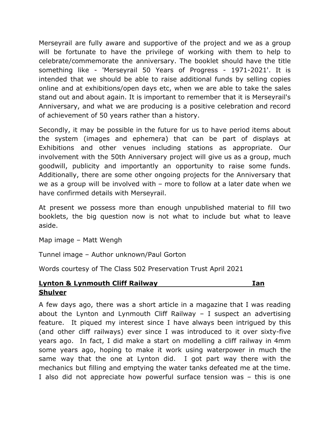Merseyrail are fully aware and supportive of the project and we as a group will be fortunate to have the privilege of working with them to help to celebrate/commemorate the anniversary. The booklet should have the title something like - 'Merseyrail 50 Years of Progress - 1971-2021'. It is intended that we should be able to raise additional funds by selling copies online and at exhibitions/open days etc, when we are able to take the sales stand out and about again. It is important to remember that it is Merseyrail's Anniversary, and what we are producing is a positive celebration and record of achievement of 50 years rather than a history.

Secondly, it may be possible in the future for us to have period items about the system (images and ephemera) that can be part of displays at Exhibitions and other venues including stations as appropriate. Our involvement with the 50th Anniversary project will give us as a group, much goodwill, publicity and importantly an opportunity to raise some funds. Additionally, there are some other ongoing projects for the Anniversary that we as a group will be involved with – more to follow at a later date when we have confirmed details with Merseyrail.

At present we possess more than enough unpublished material to fill two booklets, the big question now is not what to include but what to leave aside.

Map image – Matt Wengh

Tunnel image – Author unknown/Paul Gorton

Words courtesy of The Class 502 Preservation Trust April 2021

## **Lynton & Lynmouth Cliff Railway Ian Shulver**

A few days ago, there was a short article in a magazine that I was reading about the Lynton and Lynmouth Cliff Railway  $-$  I suspect an advertising feature. It piqued my interest since I have always been intrigued by this (and other cliff railways) ever since I was introduced to it over sixty-five years ago. In fact, I did make a start on modelling a cliff railway in 4mm some years ago, hoping to make it work using waterpower in much the same way that the one at Lynton did. I got part way there with the mechanics but filling and emptying the water tanks defeated me at the time. I also did not appreciate how powerful surface tension was – this is one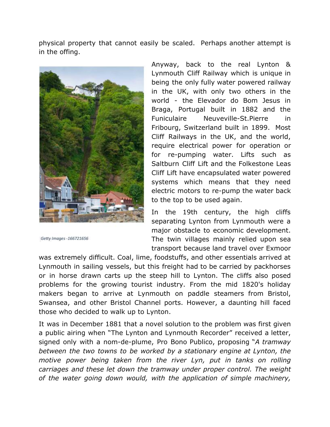physical property that cannot easily be scaled. Perhaps another attempt is in the offing.



Getty Images -166721656

Anyway, back to the real Lynton & Lynmouth Cliff Railway which is unique in being the only fully water powered railway in the UK, with only two others in the world - the Elevador do Bom Jesus in Braga, Portugal built in 1882 and the Funiculaire Neuveville-St.Pierre in Fribourg, Switzerland built in 1899. Most Cliff Railways in the UK, and the world, require electrical power for operation or for re-pumping water. Lifts such as Saltburn Cliff Lift and the Folkestone Leas Cliff Lift have encapsulated water powered systems which means that they need electric motors to re-pump the water back to the top to be used again.

In the 19th century, the high cliffs separating Lynton from Lynmouth were a major obstacle to economic development. The twin villages mainly relied upon sea transport because land travel over Exmoor

was extremely difficult. Coal, lime, foodstuffs, and other essentials arrived at Lynmouth in sailing vessels, but this freight had to be carried by packhorses or in horse drawn carts up the steep hill to Lynton. The cliffs also posed problems for the growing tourist industry. From the mid 1820's holiday makers began to arrive at Lynmouth on paddle steamers from Bristol, Swansea, and other Bristol Channel ports. However, a daunting hill faced those who decided to walk up to Lynton.

It was in December 1881 that a novel solution to the problem was first given a public airing when "The Lynton and Lynmouth Recorder" received a letter, signed only with a nom-de-plume, Pro Bono Publico, proposing "*A tramway between the two towns to be worked by a stationary engine at Lynton, the motive power being taken from the river Lyn, put in tanks on rolling carriages and these let down the tramway under proper control. The weight of the water going down would, with the application of simple machinery,*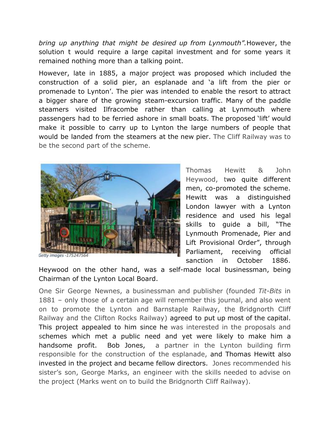*bring up anything that might be desired up from Lynmouth".*However, the solution t would require a large capital investment and for some years it remained nothing more than a talking point.

However, late in 1885, a major project was proposed which included the construction of a solid pier, an esplanade and 'a lift from the pier or promenade to Lynton'. The pier was intended to enable the resort to attract a bigger share of the growing steam-excursion traffic. Many of the paddle steamers visited Ilfracombe rather than calling at Lynmouth where passengers had to be ferried ashore in small boats. The proposed 'lift' would make it possible to carry up to Lynton the large numbers of people that would be landed from the steamers at the new pier. The Cliff Railway was to be the second part of the scheme.



Thomas Hewitt & John Heywood, two quite different men, co-promoted the scheme. Hewitt was a distinguished London lawyer with a Lynton residence and used his legal skills to guide a bill, "The Lynmouth Promenade, Pier and Lift Provisional Order", through Parliament, receiving official sanction in October 1886.

Heywood on the other hand, was a self-made local businessman, being Chairman of the Lynton Local Board.

One Sir George Newnes, a businessman and publisher (founded *Tit-Bits* in 1881 – only those of a certain age will remember this journal, and also went on to promote the Lynton and Barnstaple Railway, the Bridgnorth Cliff Railway and the Clifton Rocks Railway) agreed to put up most of the capital. This project appealed to him since he was interested in the proposals and schemes which met a public need and yet were likely to make him a handsome profit. Bob Jones, a partner in the Lynton building firm responsible for the construction of the esplanade, and Thomas Hewitt also invested in the project and became fellow directors. Jones recommended his sister's son, George Marks, an engineer with the skills needed to advise on the project (Marks went on to build the Bridgnorth Cliff Railway).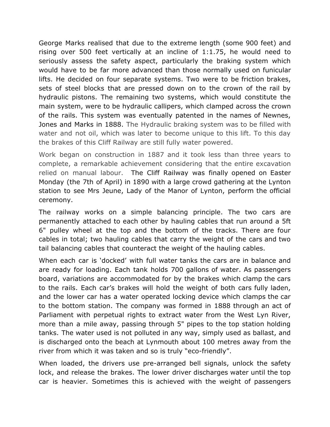George Marks realised that due to the extreme length (some 900 feet) and rising over 500 feet vertically at an incline of 1:1.75, he would need to seriously assess the safety aspect, particularly the braking system which would have to be far more advanced than those normally used on funicular lifts. He decided on four separate systems. Two were to be friction brakes, sets of steel blocks that are pressed down on to the crown of the rail by hydraulic pistons. The remaining two systems, which would constitute the main system, were to be hydraulic callipers, which clamped across the crown of the rails. This system was eventually patented in the names of Newnes, Jones and Marks in 1888. The Hydraulic braking system was to be filled with water and not oil, which was later to become unique to this lift. To this day the brakes of this Cliff Railway are still fully water powered.

Work began on construction in 1887 and it took less than three years to complete, a remarkable achievement considering that the entire excavation relied on manual labour. The Cliff Railway was finally opened on Easter Monday (the 7th of April) in 1890 with a large crowd gathering at the Lynton station to see Mrs Jeune, Lady of the Manor of Lynton, perform the official ceremony.

The railway works on a simple balancing principle. The two cars are permanently attached to each other by hauling cables that run around a 5ft 6" pulley wheel at the top and the bottom of the tracks. There are four cables in total; two hauling cables that carry the weight of the cars and two tail balancing cables that counteract the weight of the hauling cables.

When each car is 'docked' with full water tanks the cars are in balance and are ready for loading. Each tank holds 700 gallons of water. As passengers board, variations are accommodated for by the brakes which clamp the cars to the rails. Each car's brakes will hold the weight of both cars fully laden, and the lower car has a water operated locking device which clamps the car to the bottom station. The company was formed in 1888 through an act of Parliament with perpetual rights to extract water from the West Lyn River, more than a mile away, passing through 5" pipes to the top station holding tanks. The water used is not polluted in any way, simply used as ballast, and is discharged onto the beach at Lynmouth about 100 metres away from the river from which it was taken and so is truly "eco-friendly".

When loaded, the drivers use pre-arranged bell signals, unlock the safety lock, and release the brakes. The lower driver discharges water until the top car is heavier. Sometimes this is achieved with the weight of passengers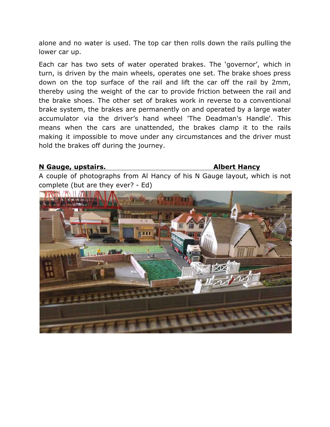alone and no water is used. The top car then rolls down the rails pulling the lower car up.

Each car has two sets of water operated brakes. The 'governor', which in turn, is driven by the main wheels, operates one set. The brake shoes press down on the top surface of the rail and lift the car off the rail by 2mm, thereby using the weight of the car to provide friction between the rail and the brake shoes. The other set of brakes work in reverse to a conventional brake system, the brakes are permanently on and operated by a large water accumulator via the driver's hand wheel 'The Deadman's Handle'. This means when the cars are unattended, the brakes clamp it to the rails making it impossible to move under any circumstances and the driver must hold the brakes off during the journey.

#### **N Gauge, upstairs. Albert Hancy**

A couple of photographs from Al Hancy of his N Gauge layout, which is not complete (but are they ever? - Ed)

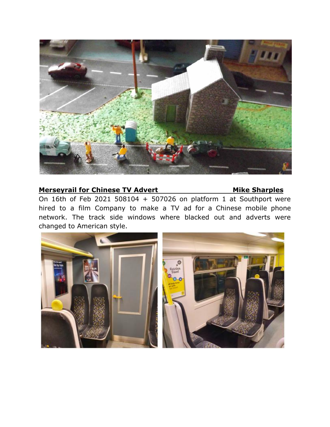

## **Merseyrail for Chinese TV Advert Mike Sharples**

On 16th of Feb 2021 508104 + 507026 on platform 1 at Southport were hired to a film Company to make a TV ad for a Chinese mobile phone network. The track side windows where blacked out and adverts were changed to American style.